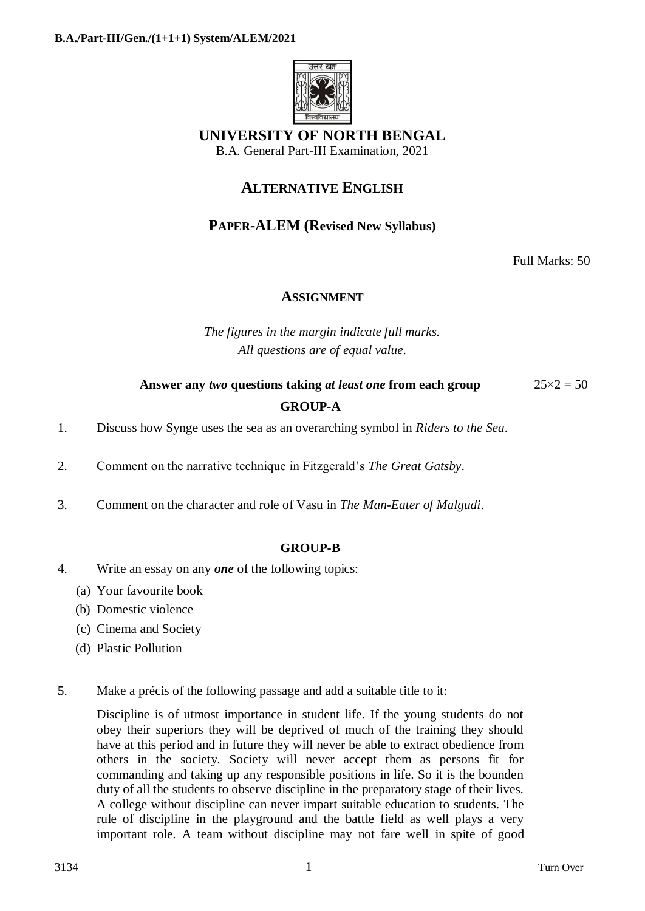

# **UNIVERSITY OF NORTH BENGAL**

B.A. General Part-III Examination, 2021

## **ALTERNATIVE ENGLISH**

### **PAPER-ALEM (Revised New Syllabus)**

Full Marks: 50

### **ASSIGNMENT**

*The figures in the margin indicate full marks. All questions are of equal value.*

## **Answer any** *two* **questions taking** *at least one* **from each group** 25×2 = 50 **GROUP-A**

- 1. Discuss how Synge uses the sea as an overarching symbol in *Riders to the Sea*.
- 2. Comment on the narrative technique in Fitzgerald's *The Great Gatsby*.
- 3. Comment on the character and role of Vasu in *The Man-Eater of Malgudi*.

#### **GROUP-B**

- 4. Write an essay on any *one* of the following topics:
	- (a) Your favourite book
	- (b) Domestic violence
	- (c) Cinema and Society
	- (d) Plastic Pollution
- 5. Make a précis of the following passage and add a suitable title to it:

Discipline is of utmost importance in student life. If the young students do not obey their superiors they will be deprived of much of the training they should have at this period and in future they will never be able to extract obedience from others in the society. Society will never accept them as persons fit for commanding and taking up any responsible positions in life. So it is the bounden duty of all the students to observe discipline in the preparatory stage of their lives. A college without discipline can never impart suitable education to students. The rule of discipline in the playground and the battle field as well plays a very important role. A team without discipline may not fare well in spite of good